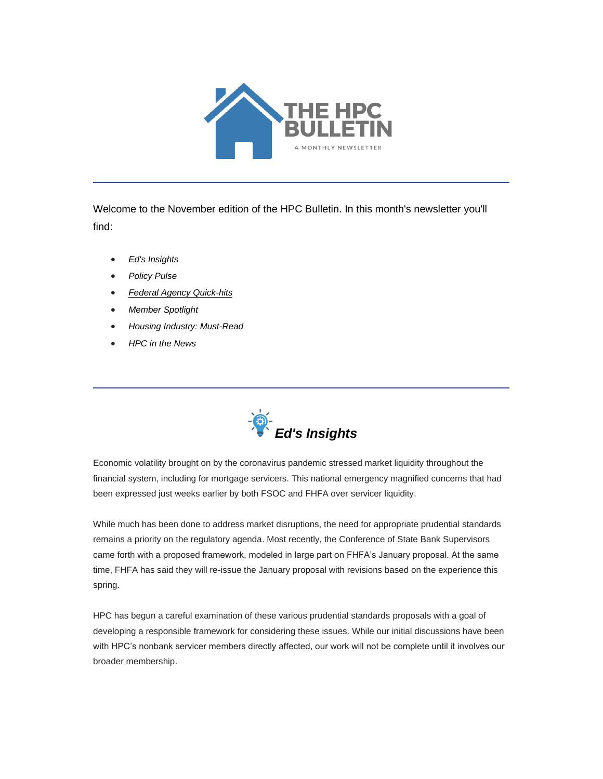

Welcome to the November edition of the HPC Bulletin. In this month's newsletter you'll find:

- *[Ed's Insights](#page-0-0)*
- *[Policy Pulse](#page-1-0)*
- *[Federal Agency Quick-hits](#page-2-0)*
- *[Member Spotlight](#page-3-0)*
- *[Housing Industry: Must-Read](#page-3-1)*
- *[HPC in the News](#page-3-2)*

<span id="page-0-0"></span>

Economic volatility brought on by the coronavirus pandemic stressed market liquidity throughout the financial system, including for mortgage servicers. This national emergency magnified concerns that had been expressed just weeks earlier by both FSOC and FHFA over servicer liquidity.

While much has been done to address market disruptions, the need for appropriate prudential standards remains a priority on the regulatory agenda. Most recently, the Conference of State Bank Supervisors came forth with a proposed framework, modeled in large part on FHFA's January proposal. At the same time, FHFA has said they will re-issue the January proposal with revisions based on the experience this spring.

HPC has begun a careful examination of these various prudential standards proposals with a goal of developing a responsible framework for considering these issues. While our initial discussions have been with HPC's nonbank servicer members directly affected, our work will not be complete until it involves our broader membership.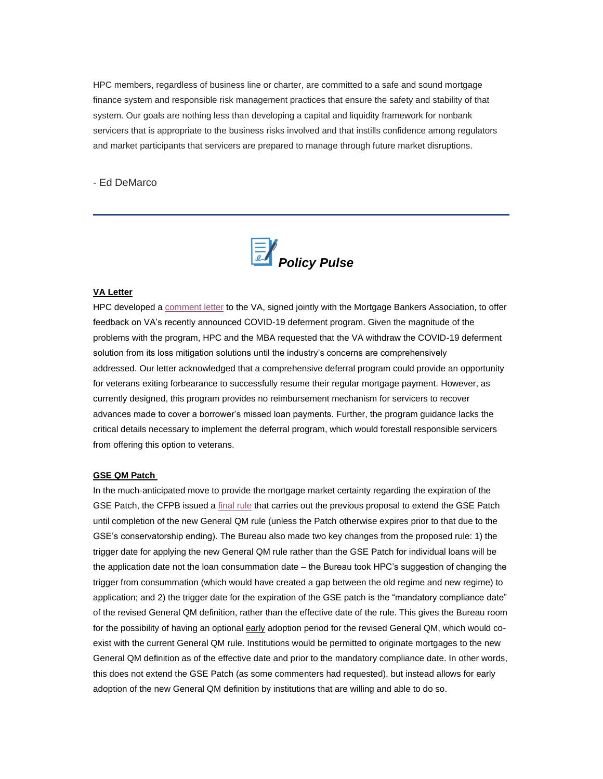HPC members, regardless of business line or charter, are committed to a safe and sound mortgage finance system and responsible risk management practices that ensure the safety and stability of that system. Our goals are nothing less than developing a capital and liquidity framework for nonbank servicers that is appropriate to the business risks involved and that instills confidence among regulators and market participants that servicers are prepared to manage through future market disruptions.

#### - Ed DeMarco

<span id="page-1-0"></span>

#### **VA Letter**

HPC developed a **[comment letter](https://nam05.safelinks.protection.outlook.com/?url=https%3A%2F%2Ffbb0ab68-1668-4db6-9365-051035190b71.filesusr.com%2Fugd%2Fd315af_0199778f8dfd4b17bcfa98d385c4a2b8.pdf&data=04%7C01%7Canna.herndon%40edelman.com%7C67e96cd44d46493f599e08d87d023d5d%7Cb824bfb3918e43c2bb1cdcc1ba40a82b%7C0%7C1%7C637396795859523772%7CUnknown%7CTWFpbGZsb3d8eyJWIjoiMC4wLjAwMDAiLCJQIjoiV2luMzIiLCJBTiI6Ik1haWwiLCJXVCI6Mn0%3D%7C1000&sdata=eQXorzVwpoVxVeZeRWfpgTqW3VgEygHitK480SLLMIs%3D&reserved=0)** to the VA, signed jointly with the Mortgage Bankers Association, to offer feedback on VA's recently announced COVID-19 deferment program. Given the magnitude of the problems with the program, HPC and the MBA requested that the VA withdraw the COVID-19 deferment solution from its loss mitigation solutions until the industry's concerns are comprehensively addressed. Our letter acknowledged that a comprehensive deferral program could provide an opportunity for veterans exiting forbearance to successfully resume their regular mortgage payment. However, as currently designed, this program provides no reimbursement mechanism for servicers to recover advances made to cover a borrower's missed loan payments. Further, the program guidance lacks the critical details necessary to implement the deferral program, which would forestall responsible servicers from offering this option to veterans.

#### **GSE QM Patch**

In the much-anticipated move to provide the mortgage market certainty regarding the expiration of the GSE Patch, the CFPB issued a [final rule](https://nam05.safelinks.protection.outlook.com/?url=https%3A%2F%2Ffiles.consumerfinance.gov%2Ff%2Fdocuments%2Fcfpb_atr-qm-patch-extension-final-rule_2020-10.pdf&data=04%7C01%7Canna.herndon%40edelman.com%7C67e96cd44d46493f599e08d87d023d5d%7Cb824bfb3918e43c2bb1cdcc1ba40a82b%7C0%7C1%7C637396795859533330%7CUnknown%7CTWFpbGZsb3d8eyJWIjoiMC4wLjAwMDAiLCJQIjoiV2luMzIiLCJBTiI6Ik1haWwiLCJXVCI6Mn0%3D%7C1000&sdata=lDO5g5gCcCHhlGNHwbVnJRLp2WlLh8CCvAVtAudVtHA%3D&reserved=0) that carries out the previous proposal to extend the GSE Patch until completion of the new General QM rule (unless the Patch otherwise expires prior to that due to the GSE's conservatorship ending). The Bureau also made two key changes from the proposed rule: 1) the trigger date for applying the new General QM rule rather than the GSE Patch for individual loans will be the application date not the loan consummation date – the Bureau took HPC's suggestion of changing the trigger from consummation (which would have created a gap between the old regime and new regime) to application; and 2) the trigger date for the expiration of the GSE patch is the "mandatory compliance date" of the revised General QM definition, rather than the effective date of the rule. This gives the Bureau room for the possibility of having an optional early adoption period for the revised General QM, which would coexist with the current General QM rule. Institutions would be permitted to originate mortgages to the new General QM definition as of the effective date and prior to the mandatory compliance date. In other words, this does not extend the GSE Patch (as some commenters had requested), but instead allows for early adoption of the new General QM definition by institutions that are willing and able to do so.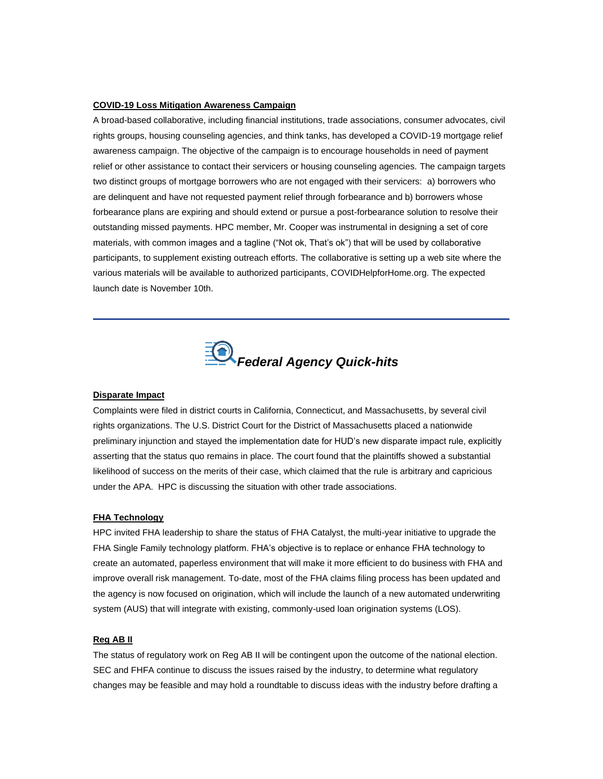#### **COVID-19 Loss Mitigation Awareness Campaign**

A broad-based collaborative, including financial institutions, trade associations, consumer advocates, civil rights groups, housing counseling agencies, and think tanks, has developed a COVID-19 mortgage relief awareness campaign. The objective of the campaign is to encourage households in need of payment relief or other assistance to contact their servicers or housing counseling agencies. The campaign targets two distinct groups of mortgage borrowers who are not engaged with their servicers: a) borrowers who are delinquent and have not requested payment relief through forbearance and b) borrowers whose forbearance plans are expiring and should extend or pursue a post-forbearance solution to resolve their outstanding missed payments. HPC member, Mr. Cooper was instrumental in designing a set of core materials, with common images and a tagline ("Not ok, That's ok") that will be used by collaborative participants, to supplement existing outreach efforts. The collaborative is setting up a web site where the various materials will be available to authorized participants, COVIDHelpforHome.org. The expected launch date is November 10th.

<span id="page-2-0"></span>

#### **Disparate Impact**

Complaints were filed in district courts in California, Connecticut, and Massachusetts, by several civil rights organizations. The U.S. District Court for the District of Massachusetts placed a nationwide preliminary injunction and stayed the implementation date for HUD's new disparate impact rule, explicitly asserting that the status quo remains in place. The court found that the plaintiffs showed a substantial likelihood of success on the merits of their case, which claimed that the rule is arbitrary and capricious under the APA. HPC is discussing the situation with other trade associations.

#### **FHA Technology**

HPC invited FHA leadership to share the status of FHA Catalyst, the multi-year initiative to upgrade the FHA Single Family technology platform. FHA's objective is to replace or enhance FHA technology to create an automated, paperless environment that will make it more efficient to do business with FHA and improve overall risk management. To-date, most of the FHA claims filing process has been updated and the agency is now focused on origination, which will include the launch of a new automated underwriting system (AUS) that will integrate with existing, commonly-used loan origination systems (LOS).

#### **Reg AB II**

The status of regulatory work on Reg AB II will be contingent upon the outcome of the national election. SEC and FHFA continue to discuss the issues raised by the industry, to determine what regulatory changes may be feasible and may hold a roundtable to discuss ideas with the industry before drafting a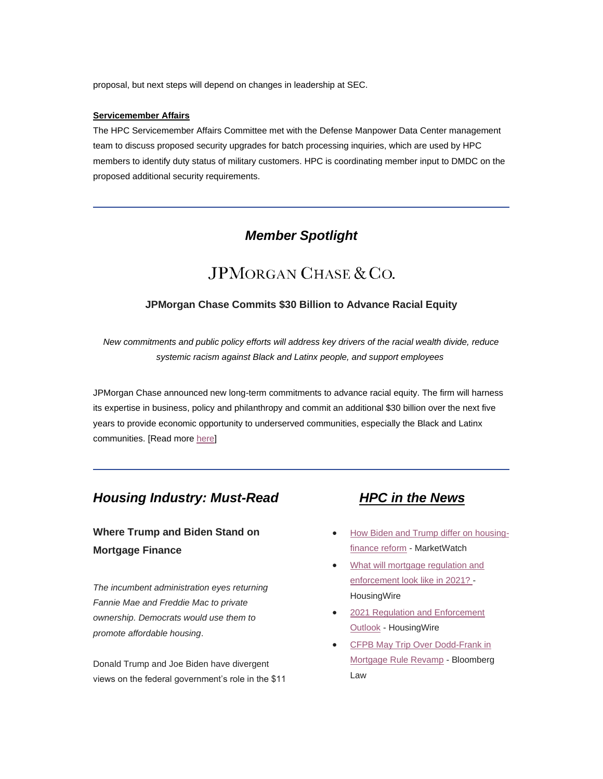proposal, but next steps will depend on changes in leadership at SEC.

#### **Servicemember Affairs**

The HPC Servicemember Affairs Committee met with the Defense Manpower Data Center management team to discuss proposed security upgrades for batch processing inquiries, which are used by HPC members to identify duty status of military customers. HPC is coordinating member input to DMDC on the proposed additional security requirements.

# *Member Spotlight*

# JPMORGAN CHASE & CO.

### <span id="page-3-0"></span>**JPMorgan Chase Commits \$30 Billion to Advance Racial Equity**

*New commitments and public policy efforts will address key drivers of the racial wealth divide, reduce systemic racism against Black and Latinx people, and support employees*

JPMorgan Chase announced new long-term commitments to advance racial equity. The firm will harness its expertise in business, policy and philanthropy and commit an additional \$30 billion over the next five years to provide economic opportunity to underserved communities, especially the Black and Latinx communities. [Read more [here\]](https://nam05.safelinks.protection.outlook.com/?url=https%3A%2F%2Fwww.jpmorganchase.com%2Fnews-stories%2Fjpmc-commits-30-billion-to-advance-racial-equity&data=04%7C01%7Canna.herndon%40edelman.com%7C67e96cd44d46493f599e08d87d023d5d%7Cb824bfb3918e43c2bb1cdcc1ba40a82b%7C0%7C1%7C637396795859533330%7CUnknown%7CTWFpbGZsb3d8eyJWIjoiMC4wLjAwMDAiLCJQIjoiV2luMzIiLCJBTiI6Ik1haWwiLCJXVCI6Mn0%3D%7C1000&sdata=VrslyBbutgErsuDLPUnWvzll5gSziu%2Bqs0EDijd4WKg%3D&reserved=0)

## <span id="page-3-1"></span>*Housing Industry: Must-Read HPC in the News*

# **Where Trump and Biden Stand on Mortgage Finance**

*The incumbent administration eyes returning Fannie Mae and Freddie Mac to private ownership. Democrats would use them to promote affordable housing*.

Donald Trump and Joe Biden have divergent views on the federal government's role in the \$11

- <span id="page-3-2"></span>• [How Biden and Trump differ on housing](https://nam05.safelinks.protection.outlook.com/?url=https%3A%2F%2Fwww.marketwatch.com%2Fstory%2Fhow-biden-and-trump-differ-on-housing-finance-reform-2020-10-26&data=04%7C01%7Canna.herndon%40edelman.com%7C67e96cd44d46493f599e08d87d023d5d%7Cb824bfb3918e43c2bb1cdcc1ba40a82b%7C0%7C0%7C637396795859553318%7CUnknown%7CTWFpbGZsb3d8eyJWIjoiMC4wLjAwMDAiLCJQIjoiV2luMzIiLCJBTiI6Ik1haWwiLCJXVCI6Mn0%3D%7C1000&sdata=uZ3Tw9AUUprLBXsvBv%2BFORoX0jDCTCV1SJa3HJ8A4Jw%3D&reserved=0)[finance reform](https://nam05.safelinks.protection.outlook.com/?url=https%3A%2F%2Fwww.marketwatch.com%2Fstory%2Fhow-biden-and-trump-differ-on-housing-finance-reform-2020-10-26&data=04%7C01%7Canna.herndon%40edelman.com%7C67e96cd44d46493f599e08d87d023d5d%7Cb824bfb3918e43c2bb1cdcc1ba40a82b%7C0%7C0%7C637396795859553318%7CUnknown%7CTWFpbGZsb3d8eyJWIjoiMC4wLjAwMDAiLCJQIjoiV2luMzIiLCJBTiI6Ik1haWwiLCJXVCI6Mn0%3D%7C1000&sdata=uZ3Tw9AUUprLBXsvBv%2BFORoX0jDCTCV1SJa3HJ8A4Jw%3D&reserved=0) - MarketWatch
- [What will mortgage regulation and](https://nam05.safelinks.protection.outlook.com/?url=https%3A%2F%2Fwww.housingwire.com%2Farticles%2Fwhat-will-mortgage-regulation-and-enforcement-look-like-in-2021%2F&data=04%7C01%7Canna.herndon%40edelman.com%7C67e96cd44d46493f599e08d87d023d5d%7Cb824bfb3918e43c2bb1cdcc1ba40a82b%7C0%7C0%7C637396795859553318%7CUnknown%7CTWFpbGZsb3d8eyJWIjoiMC4wLjAwMDAiLCJQIjoiV2luMzIiLCJBTiI6Ik1haWwiLCJXVCI6Mn0%3D%7C1000&sdata=DUhxmm52k9A5I6CC08LA5h3TZi4HELGgZR0n9C2vvrQ%3D&reserved=0)  [enforcement look like in 2021? -](https://nam05.safelinks.protection.outlook.com/?url=https%3A%2F%2Fwww.housingwire.com%2Farticles%2Fwhat-will-mortgage-regulation-and-enforcement-look-like-in-2021%2F&data=04%7C01%7Canna.herndon%40edelman.com%7C67e96cd44d46493f599e08d87d023d5d%7Cb824bfb3918e43c2bb1cdcc1ba40a82b%7C0%7C0%7C637396795859553318%7CUnknown%7CTWFpbGZsb3d8eyJWIjoiMC4wLjAwMDAiLCJQIjoiV2luMzIiLCJBTiI6Ik1haWwiLCJXVCI6Mn0%3D%7C1000&sdata=DUhxmm52k9A5I6CC08LA5h3TZi4HELGgZR0n9C2vvrQ%3D&reserved=0) **HousingWire**
- [2021 Regulation and Enforcement](https://nam05.safelinks.protection.outlook.com/?url=https%3A%2F%2Fwww.housingwire.com%2Farticles%2F2021-regulation-and-enforcement-outlook%2F&data=04%7C01%7Canna.herndon%40edelman.com%7C67e96cd44d46493f599e08d87d023d5d%7Cb824bfb3918e43c2bb1cdcc1ba40a82b%7C0%7C0%7C637396795859563319%7CUnknown%7CTWFpbGZsb3d8eyJWIjoiMC4wLjAwMDAiLCJQIjoiV2luMzIiLCJBTiI6Ik1haWwiLCJXVCI6Mn0%3D%7C1000&sdata=idpPsma%2BpQYj6H5lD363JXcmvf3ilbIk7eI%2FSuTmC0A%3D&reserved=0)  [Outlook](https://nam05.safelinks.protection.outlook.com/?url=https%3A%2F%2Fwww.housingwire.com%2Farticles%2F2021-regulation-and-enforcement-outlook%2F&data=04%7C01%7Canna.herndon%40edelman.com%7C67e96cd44d46493f599e08d87d023d5d%7Cb824bfb3918e43c2bb1cdcc1ba40a82b%7C0%7C0%7C637396795859563319%7CUnknown%7CTWFpbGZsb3d8eyJWIjoiMC4wLjAwMDAiLCJQIjoiV2luMzIiLCJBTiI6Ik1haWwiLCJXVCI6Mn0%3D%7C1000&sdata=idpPsma%2BpQYj6H5lD363JXcmvf3ilbIk7eI%2FSuTmC0A%3D&reserved=0) - HousingWire
- [CFPB May Trip Over Dodd-Frank in](https://nam05.safelinks.protection.outlook.com/?url=https%3A%2F%2Fnews.bloomberglaw.com%2Fbanking-law%2Fcfpb-may-trip-over-dodd-frank-in-mortgage-rule-revamp&data=04%7C01%7Canna.herndon%40edelman.com%7C67e96cd44d46493f599e08d87d023d5d%7Cb824bfb3918e43c2bb1cdcc1ba40a82b%7C0%7C1%7C637396795859573315%7CUnknown%7CTWFpbGZsb3d8eyJWIjoiMC4wLjAwMDAiLCJQIjoiV2luMzIiLCJBTiI6Ik1haWwiLCJXVCI6Mn0%3D%7C1000&sdata=bYmy%2FvlZZ7L9pG66hmXpzRQ1oFzTGwPoLj7GVodQlPc%3D&reserved=0)  [Mortgage Rule Revamp](https://nam05.safelinks.protection.outlook.com/?url=https%3A%2F%2Fnews.bloomberglaw.com%2Fbanking-law%2Fcfpb-may-trip-over-dodd-frank-in-mortgage-rule-revamp&data=04%7C01%7Canna.herndon%40edelman.com%7C67e96cd44d46493f599e08d87d023d5d%7Cb824bfb3918e43c2bb1cdcc1ba40a82b%7C0%7C1%7C637396795859573315%7CUnknown%7CTWFpbGZsb3d8eyJWIjoiMC4wLjAwMDAiLCJQIjoiV2luMzIiLCJBTiI6Ik1haWwiLCJXVCI6Mn0%3D%7C1000&sdata=bYmy%2FvlZZ7L9pG66hmXpzRQ1oFzTGwPoLj7GVodQlPc%3D&reserved=0) - Bloomberg Law